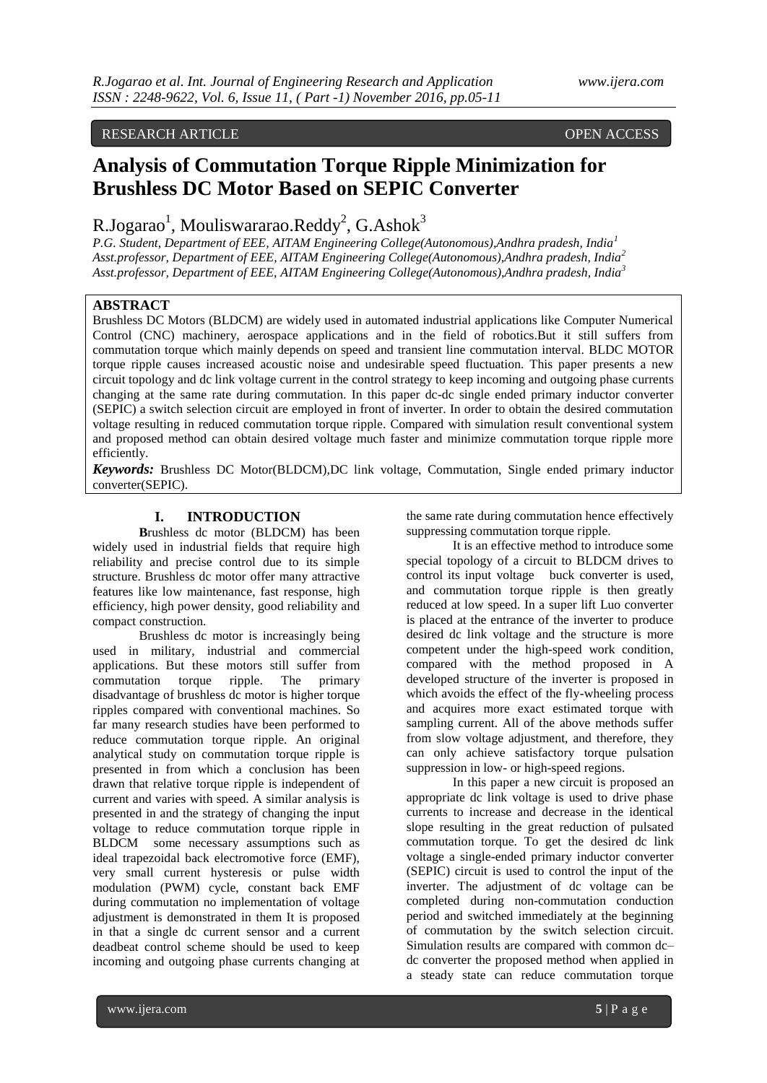# RESEARCH ARTICLE OPEN ACCESS

# **Analysis of Commutation Torque Ripple Minimization for Brushless DC Motor Based on SEPIC Converter**

R.Jogarao<sup>1</sup>, Mouliswararao.Reddy<sup>2</sup>, G.Ashok<sup>3</sup>

*P.G. Student, Department of EEE, AITAM Engineering College(Autonomous),Andhra pradesh, India<sup>1</sup> Asst.professor, Department of EEE, AITAM Engineering College(Autonomous),Andhra pradesh, India<sup>2</sup> Asst.professor, Department of EEE, AITAM Engineering College(Autonomous),Andhra pradesh, India<sup>3</sup>*

# **ABSTRACT**

Brushless DC Motors (BLDCM) are widely used in automated industrial applications like Computer Numerical Control (CNC) machinery, aerospace applications and in the field of robotics.But it still suffers from commutation torque which mainly depends on speed and transient line commutation interval. BLDC MOTOR torque ripple causes increased acoustic noise and undesirable speed fluctuation. This paper presents a new circuit topology and dc link voltage current in the control strategy to keep incoming and outgoing phase currents changing at the same rate during commutation. In this paper dc-dc single ended primary inductor converter (SEPIC) a switch selection circuit are employed in front of inverter. In order to obtain the desired commutation voltage resulting in reduced commutation torque ripple. Compared with simulation result conventional system and proposed method can obtain desired voltage much faster and minimize commutation torque ripple more efficiently.

*Keywords:* Brushless DC Motor(BLDCM),DC link voltage, Commutation, Single ended primary inductor converter(SEPIC).

# **I. INTRODUCTION**

**B**rushless dc motor (BLDCM) has been widely used in industrial fields that require high reliability and precise control due to its simple structure. Brushless dc motor offer many attractive features like low maintenance, fast response, high efficiency, high power density, good reliability and compact construction.

Brushless dc motor is increasingly being used in military, industrial and commercial applications. But these motors still suffer from commutation torque ripple. The primary disadvantage of brushless dc motor is higher torque ripples compared with conventional machines. So far many research studies have been performed to reduce commutation torque ripple. An original analytical study on commutation torque ripple is presented in from which a conclusion has been drawn that relative torque ripple is independent of current and varies with speed. A similar analysis is presented in and the strategy of changing the input voltage to reduce commutation torque ripple in BLDCM some necessary assumptions such as ideal trapezoidal back electromotive force (EMF), very small current hysteresis or pulse width modulation (PWM) cycle, constant back EMF during commutation no implementation of voltage adjustment is demonstrated in them It is proposed in that a single dc current sensor and a current deadbeat control scheme should be used to keep incoming and outgoing phase currents changing at

the same rate during commutation hence effectively suppressing commutation torque ripple.

It is an effective method to introduce some special topology of a circuit to BLDCM drives to control its input voltage buck converter is used, and commutation torque ripple is then greatly reduced at low speed. In a super lift Luo converter is placed at the entrance of the inverter to produce desired dc link voltage and the structure is more competent under the high-speed work condition, compared with the method proposed in A developed structure of the inverter is proposed in which avoids the effect of the fly-wheeling process and acquires more exact estimated torque with sampling current. All of the above methods suffer from slow voltage adjustment, and therefore, they can only achieve satisfactory torque pulsation suppression in low- or high-speed regions.

In this paper a new circuit is proposed an appropriate dc link voltage is used to drive phase currents to increase and decrease in the identical slope resulting in the great reduction of pulsated commutation torque. To get the desired dc link voltage a single-ended primary inductor converter (SEPIC) circuit is used to control the input of the inverter. The adjustment of dc voltage can be completed during non-commutation conduction period and switched immediately at the beginning of commutation by the switch selection circuit. Simulation results are compared with common dc– dc converter the proposed method when applied in a steady state can reduce commutation torque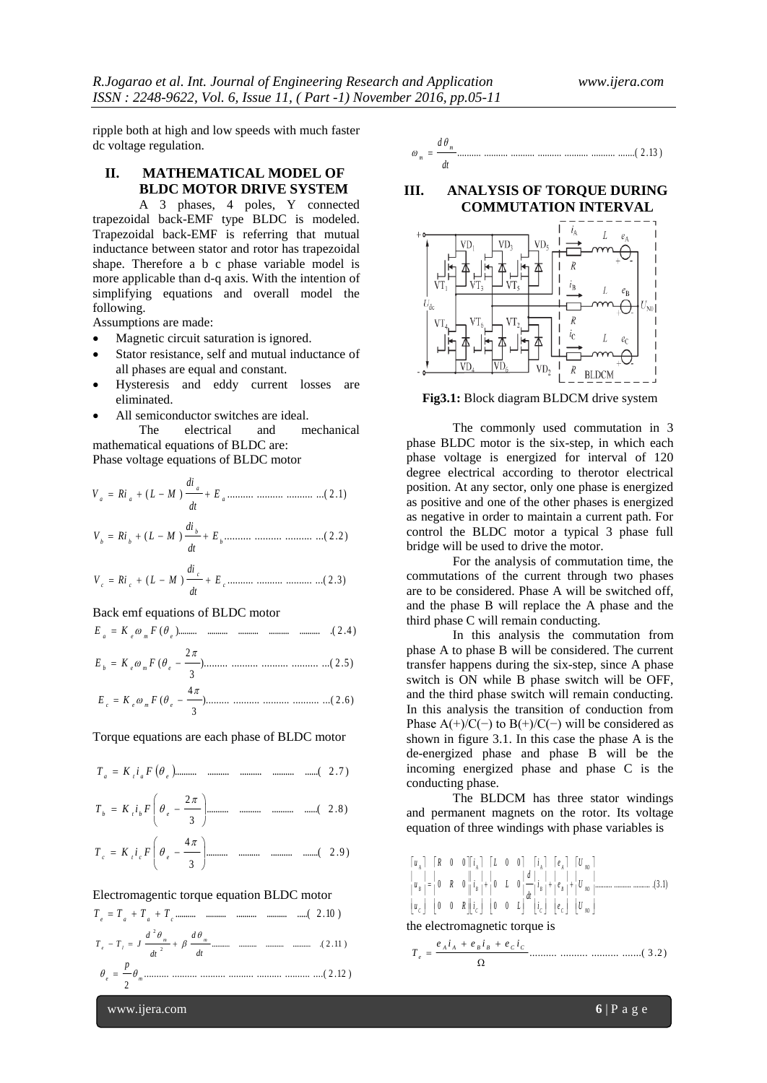ripple both at high and low speeds with much faster dc voltage regulation.

## **II. MATHEMATICAL MODEL OF BLDC MOTOR DRIVE SYSTEM**

A 3 phases, 4 poles, Y connected trapezoidal back-EMF type BLDC is modeled. Trapezoidal back-EMF is referring that mutual inductance between stator and rotor has trapezoidal shape. Therefore a b c phase variable model is more applicable than d-q axis. With the intention of simplifying equations and overall model the following.

Assumptions are made:

- Magnetic circuit saturation is ignored.
- Stator resistance, self and mutual inductance of all phases are equal and constant.
- Hysteresis and eddy current losses are eliminated.
- All semiconductor switches are ideal. The electrical and mechanical

mathematical equations of BLDC are: Phase voltage equations of BLDC motor

$$
V_a = Ri_a + (L - M) \frac{di_a}{dt} + E_a \dots \dots \dots \dots \dots \dots \dots \dots \dots \dots \dots (2.1)
$$

$$
V_b = Ri_b + (L - M) \frac{di_b}{dt} + E_b \dots \dots \dots \dots \dots \dots \dots \dots \dots \dots \dots (2.2)
$$

$$
V_c = Ri_c + (L - M) \frac{di_c}{dt} + E_c \dots \dots \dots \dots \dots \dots \dots \dots \dots \dots (2.3)
$$

#### Back emf equations of BLDC motor

( )......... .......... .......... .......... .......... .( 2 .4 ) *a e m e E K F*

)......... .......... .......... .......... ...( 2 .5 ) 3 2 ( *<sup>b</sup> <sup>e</sup> <sup>m</sup> <sup>e</sup> E K F* 4 

$$
E_c = K_e \omega_m F (\theta_e - \frac{m}{3}) \dots \dots \dots \dots \dots \dots \dots \dots \dots \dots \dots \dots \dots \dots (2.6)
$$

Torque equations are each phase of BLDC motor

$$
T_a = K_i i_a F(\theta_e)
$$
................. ................. ................. ... (2.7)

.......... .......... .......... ......( 2 .8 ) 3 2 *<sup>b</sup> <sup>t</sup> <sup>b</sup> <sup>e</sup> T K i F*

.......... .......... .......... .......( 2 .9 ) 3 4 *c t c e T K i F*

## Electromagentic torque equation BLDC motor

.......... .......... .......... .......... .....( 2 .10 ) *e a a c T T T T* .......... .......... .......... .......... .( 2 .11 ) 2 2 *d d T T J m m e l* 

*dt dt* .......... .......... .......... .......... .......... .......... ....( 2 .12 ) 2 *e m p* 

$$
\omega_m = \frac{d\theta_m}{dt}
$$
................. *........* ................. *........* ................. *........* (2.13)

#### **III. ANALYSIS OF TORQUE DURING COMMUTATION INTERVAL**



**Fig3.1:** Block diagram BLDCM drive system

The commonly used commutation in 3 phase BLDC motor is the six-step, in which each phase voltage is energized for interval of 120 degree electrical according to therotor electrical position. At any sector, only one phase is energized as positive and one of the other phases is energized as negative in order to maintain a current path. For control the BLDC motor a typical 3 phase full bridge will be used to drive the motor.

For the analysis of commutation time, the commutations of the current through two phases are to be considered. Phase A will be switched off, and the phase B will replace the A phase and the third phase C will remain conducting.

In this analysis the commutation from phase A to phase B will be considered. The current transfer happens during the six-step, since A phase switch is ON while B phase switch will be OFF, and the third phase switch will remain conducting. In this analysis the transition of conduction from Phase A(+)/C(−) to B(+)/C(−) will be considered as shown in figure 3.1. In this case the phase A is the de-energized phase and phase B will be the incoming energized phase and phase C is the conducting phase.

The BLDCM has three stator windings and permanent magnets on the rotor. Its voltage equation of three windings with phase variables is

$$
\begin{bmatrix} u_A \\ u_B \end{bmatrix} = \begin{bmatrix} R & 0 & 0 \end{bmatrix} \begin{bmatrix} i_A \\ i_B \end{bmatrix} + \begin{bmatrix} L & 0 & 0 \end{bmatrix} \begin{bmatrix} i_A \\ i_B \end{bmatrix} + \begin{bmatrix} e_A \\ e_B \end{bmatrix} + \begin{bmatrix} U_{00} \\ U_{00} \end{bmatrix}
$$
  
\n
$$
\begin{bmatrix} u_B \\ u_C \end{bmatrix} = \begin{bmatrix} 0 & R & 0 \end{bmatrix} \begin{bmatrix} i_B \\ i_B \end{bmatrix} + \begin{bmatrix} 0 & 0 & 0 \end{bmatrix} \begin{bmatrix} d \\ -i_B \end{bmatrix} + \begin{bmatrix} i_B \\ i_B \end{bmatrix} + \begin{bmatrix} U_{00} \\ U_{00} \end{bmatrix}
$$
  
\nthe electromagnetic torque is  
\n
$$
\begin{aligned}\ne_A i_A + e_B i_B + e_C i_C \\
\end{aligned}
$$

 $\Omega$ 

 $=$ 

*e*

*T*

.......... .......... .......... .......( 3 .2 )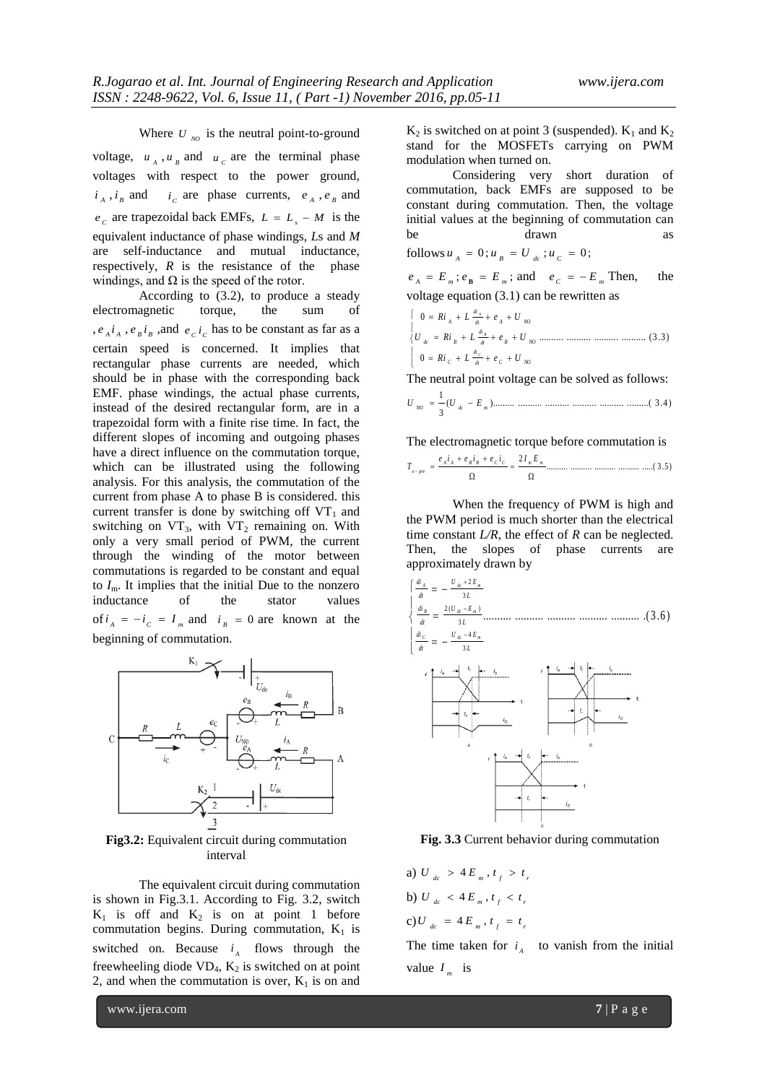Where  $U_{NQ}$  is the neutral point-to-ground voltage,  $u_A$ ,  $u_B$  and  $u_C$  are the terminal phase voltages with respect to the power ground,  $i_A$ ,  $i_B$  and  $i_C$  are phase currents,  $e_A$ ,  $e_B$  and  $e_c$  are trapezoidal back EMFs,  $L = L_s - M$  is the equivalent inductance of phase windings, *L*s and *M*  are self-inductance and mutual inductance, respectively, *R* is the resistance of the phase windings, and  $\Omega$  is the speed of the rotor.

According to (3.2), to produce a steady electromagnetic torque, the sum of ,  $e_{A}i_{A}$ ,  $e_{B}i_{B}$ , and  $e_{C}i_{C}$  has to be constant as far as a certain speed is concerned. It implies that rectangular phase currents are needed, which should be in phase with the corresponding back EMF. phase windings, the actual phase currents, instead of the desired rectangular form, are in a trapezoidal form with a finite rise time. In fact, the different slopes of incoming and outgoing phases have a direct influence on the commutation torque, which can be illustrated using the following analysis. For this analysis, the commutation of the current from phase A to phase B is considered. this current transfer is done by switching off  $VT_1$  and switching on  $VT_3$ , with  $VT_2$  remaining on. With only a very small period of PWM, the current through the winding of the motor between commutations is regarded to be constant and equal to  $I_{\rm m}$ . It implies that the initial Due to the nonzero inductance of the stator values of  $i_A = -i_C = I_m$  and  $i_B = 0$  are known at the beginning of commutation.



**Fig3.2:** Equivalent circuit during commutation interval

The equivalent circuit during commutation is shown in Fig.3.1. According to Fig. 3.2, switch  $K_1$  is off and  $K_2$  is on at point 1 before commutation begins. During commutation,  $K_1$  is switched on. Because  $i_A$  flows through the freewheeling diode  $VD_4$ ,  $K_2$  is switched on at point 2, and when the commutation is over,  $K_1$  is on and

 $K_2$  is switched on at point 3 (suspended).  $K_1$  and  $K_2$ stand for the MOSFETs carrying on PWM modulation when turned on.

Considering very short duration of commutation, back EMFs are supposed to be constant during commutation. Then, the voltage initial values at the beginning of commutation can be drawn as follows  $u_A = 0$ ;  $u_B = U_{ac}$ ;  $u_C = 0$ ;

 $e_A = E_m$ ;  $e_B = E_m$ ; and  $e_C = -E_m$  Then, the

voltage equation (3.1) can be rewritten as *R i <sup>L</sup> <sup>e</sup> <sup>U</sup>* .......... .......... .......... .......... (3 .3) 0 0 *C dt C NO di dt B NO di dc B dt A NO di A R i <sup>L</sup> <sup>e</sup> <sup>U</sup> <sup>U</sup> R i <sup>L</sup> <sup>e</sup> <sup>U</sup> C B A*

The neutral point voltage can be solved as follows:

( )......... .......... .......... .......... .......... .........( 3 .4 ) 3 1 *NO dc m U U E*

The electromagnetic torque before commutation is

.......... .......... .......... .......... .....( 3 .5 ) 2 *A A B B C C m m e pre e i e i e i I E T*

When the frequency of PWM is high and the PWM period is much shorter than the electrical time constant *L/R*, the effect of *R* can be neglected. Then, the slopes of phase currents are approximately drawn by



**Fig. 3.3** Current behavior during commutation

a)  $U_{ac} > 4 E_{m}$ ,  $t_{f} > t_{i}$ b)  $U_{ac} < 4E_m$ ,  $t_f < t_i$  $c) U_{dc} = 4 E_m, t_f = t_g$ 

The time taken for  $i_A$  to vanish from the initial value  $I_m$  is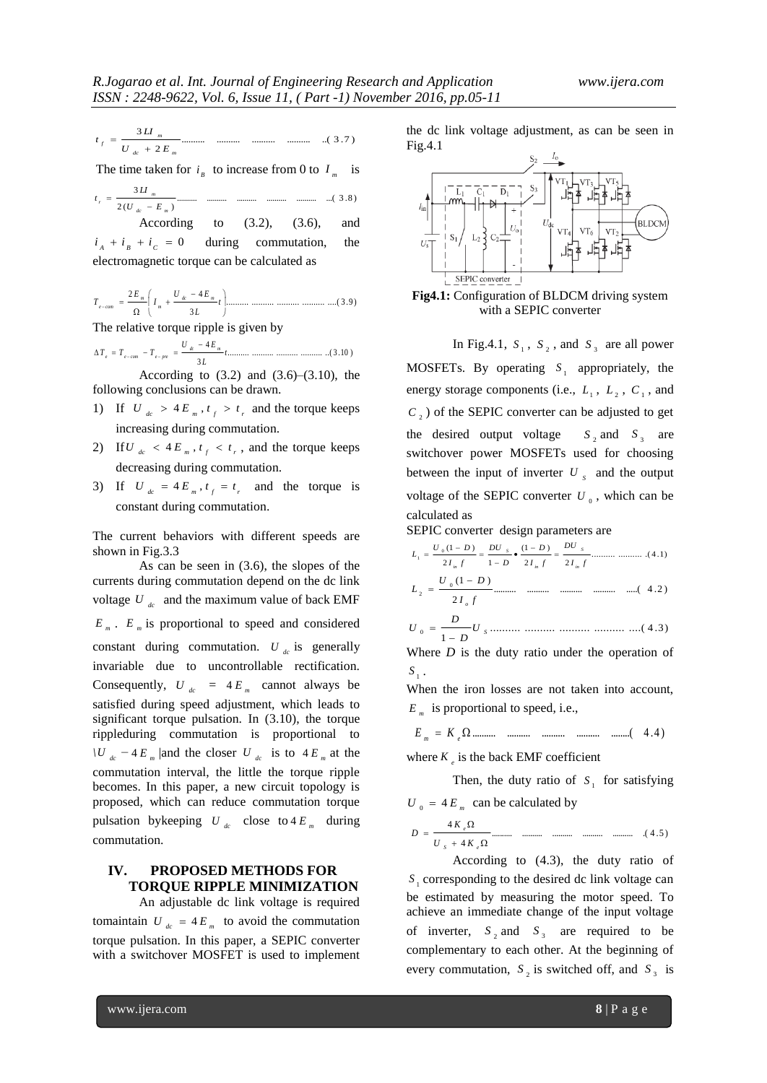$$
t_{f} = \frac{3\,II_{m}}{U_{dc} + 2\,E_{m}}
$$
................. ................. ....... (3.7)

The time taken for  $i_{B}$  to increase from 0 to  $I_{m}$  is

.......... .......... .......... .......... .......... ...( 3 .8 ) 2 ( ) 3 *dc m m r U E LI t* 

According to  $(3.2)$ ,  $(3.6)$ , and  $i_A + i_B + i_C = 0$ during commutation, the electromagnetic torque can be calculated as

.......... .......... .......... .......... ....( 3 .9 ) 3 2 4 *t L U E I E T dc m m m e com*

The relative torque ripple is given by

.......... .......... .......... .......... ..( 3 .10 ) 3 4 *t L U E T T T dc m e e com e pre* 

According to  $(3.2)$  and  $(3.6)$ – $(3.10)$ , the following conclusions can be drawn.

- 1) If  $U_{ac} > 4E_m$ ,  $t_f > t_r$  and the torque keeps increasing during commutation.
- 2) If  $U_{ac} < 4E_m$ ,  $t_f < t_r$ , and the torque keeps decreasing during commutation.
- 3) If  $U_{ac} = 4E_m$ ,  $t_f = t_r$  and the torque is constant during commutation.

The current behaviors with different speeds are shown in Fig.3.3

As can be seen in (3.6), the slopes of the currents during commutation depend on the dc link voltage  $U_{dc}$  and the maximum value of back EMF  $E_m$ .  $E_m$  is proportional to speed and considered constant during commutation.  $U_{dc}$  is generally invariable due to uncontrollable rectification. Consequently,  $U_{dc} = 4E_m$  cannot always be satisfied during speed adjustment, which leads to significant torque pulsation. In (3.10), the torque rippleduring commutation is proportional to *\U*  $_{dc}$  −4 $E$ <sub>*m*</sub> | and the closer *U*  $_{dc}$  is to 4 $E$ <sub>*m*</sub> at the commutation interval, the little the torque ripple becomes. In this paper, a new circuit topology is proposed, which can reduce commutation torque pulsation by keeping  $U_{dc}$  close to  $4E_m$  during commutation.

# **IV. PROPOSED METHODS FOR TORQUE RIPPLE MINIMIZATION**

An adjustable dc link voltage is required tomaintain  $U_{ac} = 4E_m$  to avoid the commutation torque pulsation. In this paper, a SEPIC converter with a switchover MOSFET is used to implement

the dc link voltage adjustment, as can be seen in Fig.4.1



**Fig4.1:** Configuration of BLDCM driving system with a SEPIC converter

In Fig.4.1,  $S_1$ ,  $S_2$ , and  $S_3$  are all power MOSFETs. By operating  $S_1$  appropriately, the energy storage components (i.e.,  $L_1$ ,  $L_2$ ,  $C_1$ , and  $C<sub>2</sub>$ ) of the SEPIC converter can be adjusted to get the desired output voltage  $S_2$  and  $S_3$  are switchover power MOSFETs used for choosing between the input of inverter  $U_s$  and the output voltage of the SEPIC converter  $U_0$ , which can be calculated as

SEPIC converter design parameters are

.......... .......... .( 4 .1) 2 2 (1 ) 2 1 (1 ) 0 1 *I f DU I f D D DU I f U D L in S in S in* .......... .......... .......... .......... .....( 4 .2 ) 2 (1 ) 0 *I f U D L o* 

$$
U_0 = \frac{D}{1 - D} U_3 \dots \dots \dots \dots \dots \dots \dots \dots \dots \dots \dots \dots (4.3)
$$

Where *D* is the duty ratio under the operation of  $S_{1}$ .

When the iron losses are not taken into account,  $E_m$  is proportional to speed, i.e.,

 .......... .......... .......... .......... ........( 4 .4 ) *m e E K*

where  $K_e$  is the back EMF coefficient

Then, the duty ratio of  $S_1$  for satisfying  $U_0 = 4 E_m$  can be calculated by

$$
D = \frac{4K_{\epsilon}\Omega}{U_{s} + 4K_{\epsilon}\Omega}
$$
............ ....... ....... ....... ....... ....... ....... ....... (4.5)

According to (4.3), the duty ratio of  $S<sub>1</sub>$  corresponding to the desired dc link voltage can be estimated by measuring the motor speed. To achieve an immediate change of the input voltage of inverter,  $S_2$  and  $S_3$  are required to be complementary to each other. At the beginning of every commutation,  $S_2$  is switched off, and  $S_3$  is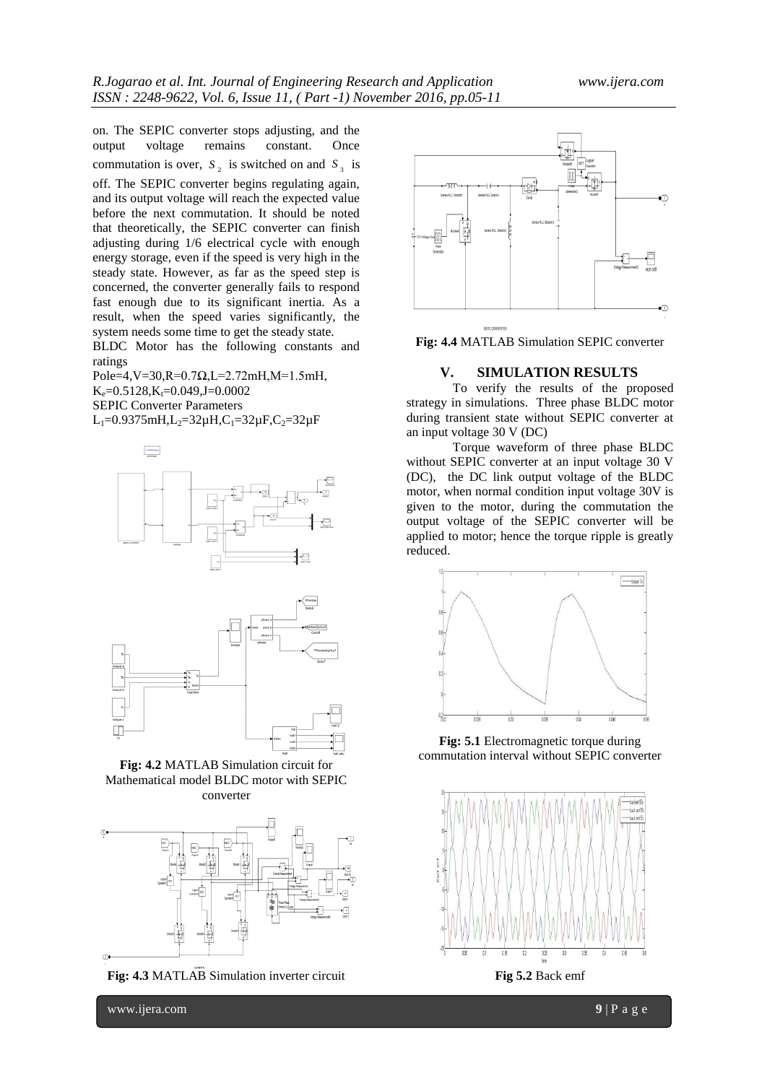on. The SEPIC converter stops adjusting, and the output voltage remains constant. Once commutation is over,  $S_2$  is switched on and  $S_3$  is off. The SEPIC converter begins regulating again, and its output voltage will reach the expected value before the next commutation. It should be noted that theoretically, the SEPIC converter can finish adjusting during 1/6 electrical cycle with enough energy storage, even if the speed is very high in the steady state. However, as far as the speed step is concerned, the converter generally fails to respond fast enough due to its significant inertia. As a result, when the speed varies significantly, the system needs some time to get the steady state.

BLDC Motor has the following constants and ratings

Pole=4, V=30, R=0.7Ω, L=2.72mH, M=1.5mH,  $K_e = 0.5128, K_t = 0.049, J = 0.0002$ SEPIC Converter Parameters L<sub>1</sub>=0.9375mH,L<sub>2</sub>=32 $\mu$ H,C<sub>1</sub>=32 $\mu$ F,C<sub>2</sub>=32 $\mu$ F





**Fig: 4.2** MATLAB Simulation circuit for Mathematical model BLDC motor with SEPIC converter



**Fig: 4.3** MATLAB Simulation inverter circuit



**Fig: 4.4** MATLAB Simulation SEPIC converter

#### **V. SIMULATION RESULTS**

To verify the results of the proposed strategy in simulations. Three phase BLDC motor during transient state without SEPIC converter at an input voltage 30 V (DC)

Torque waveform of three phase BLDC without SEPIC converter at an input voltage 30 V (DC), the DC link output voltage of the BLDC motor, when normal condition input voltage 30V is given to the motor, during the commutation the output voltage of the SEPIC converter will be applied to motor; hence the torque ripple is greatly reduced.



**Fig: 5.1** Electromagnetic torque during commutation interval without SEPIC converter



**Fig 5.2** Back emf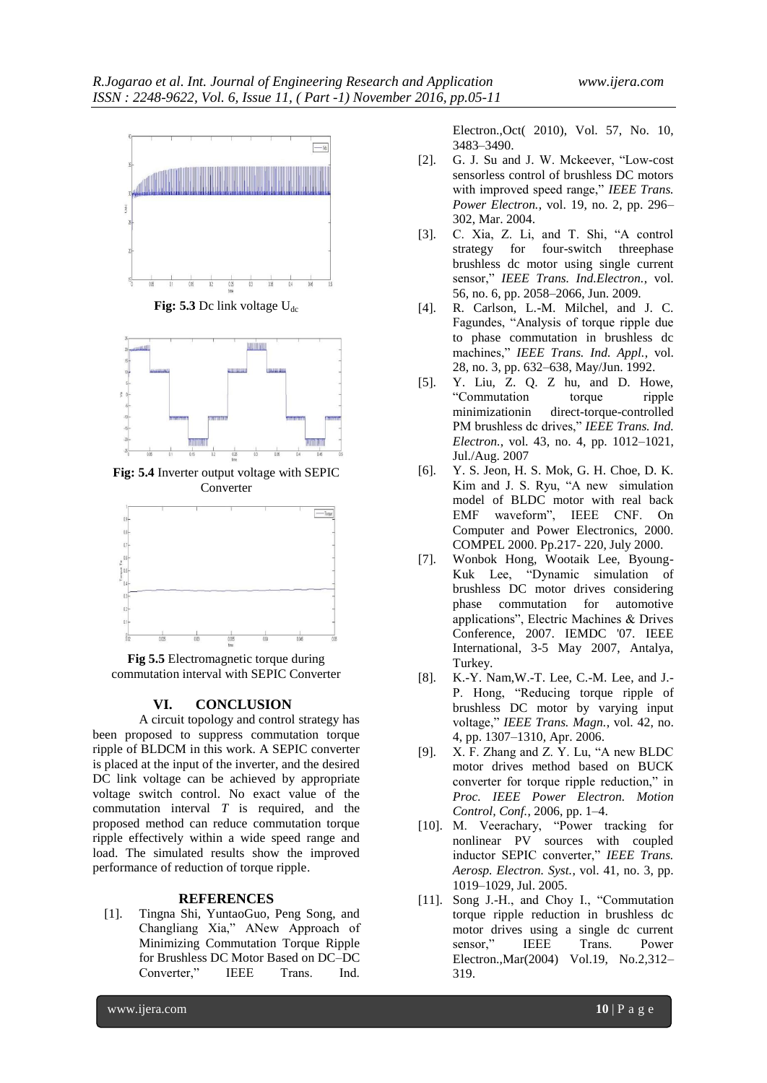

**Fig:** 5.3 Dc link voltage  $U_{dc}$ 



**Fig: 5.4** Inverter output voltage with SEPIC Converter



**Fig 5.5** Electromagnetic torque during commutation interval with SEPIC Converter

#### **VI. CONCLUSION**

A circuit topology and control strategy has been proposed to suppress commutation torque ripple of BLDCM in this work. A SEPIC converter is placed at the input of the inverter, and the desired DC link voltage can be achieved by appropriate voltage switch control. No exact value of the commutation interval *T* is required, and the proposed method can reduce commutation torque ripple effectively within a wide speed range and load. The simulated results show the improved performance of reduction of torque ripple.

#### **REFERENCES**

[1]. Tingna Shi, YuntaoGuo, Peng Song, and Changliang Xia," ANew Approach of Minimizing Commutation Torque Ripple for Brushless DC Motor Based on DC–DC Converter," IEEE Trans. Ind.

Electron.,Oct( 2010), Vol. 57, No. 10, 3483–3490.

- [2]. G. J. Su and J. W. Mckeever, "Low-cost sensorless control of brushless DC motors with improved speed range," IEEE Trans. *Power Electron.*, vol. 19, no. 2, pp. 296– 302, Mar. 2004.
- [3]. C. Xia, Z. Li, and T. Shi, "A control strategy for four-switch threephase brushless dc motor using single current sensor," *IEEE Trans. Ind.Electron.*, vol. 56, no. 6, pp. 2058–2066, Jun. 2009.
- [4]. R. Carlson, L.-M. Milchel, and J. C. Fagundes, "Analysis of torque ripple due to phase commutation in brushless dc machines," *IEEE Trans. Ind. Appl.*, vol. 28, no. 3, pp. 632–638, May/Jun. 1992.
- [5]. Y. Liu, Z. Q. Z hu, and D. Howe, "Commutation torque ripple minimizationin direct-torque-controlled PM brushless dc drives," *IEEE Trans. Ind. Electron.*, vol. 43, no. 4, pp. 1012–1021, Jul./Aug. 2007
- [6]. Y. S. Jeon, H. S. Mok, G. H. Choe, D. K. Kim and J. S. Ryu, "A new simulation model of BLDC motor with real back EMF waveform", IEEE CNF. On Computer and Power Electronics, 2000. COMPEL 2000. Pp.217- 220, July 2000.
- [7]. Wonbok Hong, Wootaik Lee, Byoung-Kuk Lee, "Dynamic simulation of brushless DC motor drives considering phase commutation for automotive applications", Electric Machines & Drives Conference, 2007. IEMDC '07. IEEE International, 3-5 May 2007, Antalya, Turkey.
- [8]. K.-Y. Nam,W.-T. Lee, C.-M. Lee, and J.- P. Hong, "Reducing torque ripple of brushless DC motor by varying input voltage," *IEEE Trans. Magn.*, vol. 42, no. 4, pp. 1307–1310, Apr. 2006.
- [9]. X. F. Zhang and Z. Y. Lu, "A new BLDC motor drives method based on BUCK converter for torque ripple reduction," in *Proc. IEEE Power Electron. Motion Control, Conf.*, 2006, pp. 1–4.
- [10]. M. Veerachary, "Power tracking for nonlinear PV sources with coupled inductor SEPIC converter," *IEEE Trans. Aerosp. Electron. Syst.*, vol. 41, no. 3, pp. 1019–1029, Jul. 2005.
- [11]. Song J.-H., and Choy I., "Commutation torque ripple reduction in brushless dc motor drives using a single dc current sensor," IEEE Trans. Power Electron.,Mar(2004) Vol.19, No.2,312– 319.